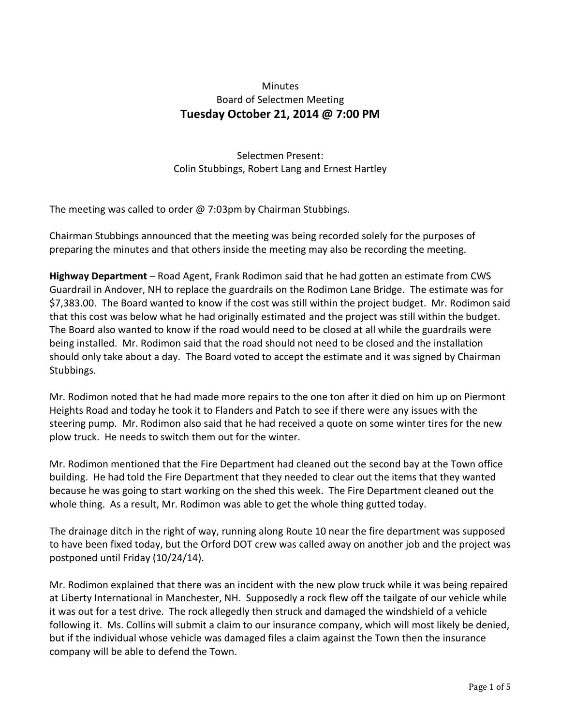## Minutes Board of Selectmen Meeting **Tuesday October 21, 2014 @ 7:00 PM**

Selectmen Present: Colin Stubbings, Robert Lang and Ernest Hartley

The meeting was called to order @ 7:03pm by Chairman Stubbings.

Chairman Stubbings announced that the meeting was being recorded solely for the purposes of preparing the minutes and that others inside the meeting may also be recording the meeting.

**Highway Department** – Road Agent, Frank Rodimon said that he had gotten an estimate from CWS Guardrail in Andover, NH to replace the guardrails on the Rodimon Lane Bridge. The estimate was for \$7,383.00. The Board wanted to know if the cost was still within the project budget. Mr. Rodimon said that this cost was below what he had originally estimated and the project was still within the budget. The Board also wanted to know if the road would need to be closed at all while the guardrails were being installed. Mr. Rodimon said that the road should not need to be closed and the installation should only take about a day. The Board voted to accept the estimate and it was signed by Chairman Stubbings.

Mr. Rodimon noted that he had made more repairs to the one ton after it died on him up on Piermont Heights Road and today he took it to Flanders and Patch to see if there were any issues with the steering pump. Mr. Rodimon also said that he had received a quote on some winter tires for the new plow truck. He needs to switch them out for the winter.

Mr. Rodimon mentioned that the Fire Department had cleaned out the second bay at the Town office building. He had told the Fire Department that they needed to clear out the items that they wanted because he was going to start working on the shed this week. The Fire Department cleaned out the whole thing. As a result, Mr. Rodimon was able to get the whole thing gutted today.

The drainage ditch in the right of way, running along Route 10 near the fire department was supposed to have been fixed today, but the Orford DOT crew was called away on another job and the project was postponed until Friday (10/24/14).

Mr. Rodimon explained that there was an incident with the new plow truck while it was being repaired at Liberty International in Manchester, NH. Supposedly a rock flew off the tailgate of our vehicle while it was out for a test drive. The rock allegedly then struck and damaged the windshield of a vehicle following it. Ms. Collins will submit a claim to our insurance company, which will most likely be denied, but if the individual whose vehicle was damaged files a claim against the Town then the insurance company will be able to defend the Town.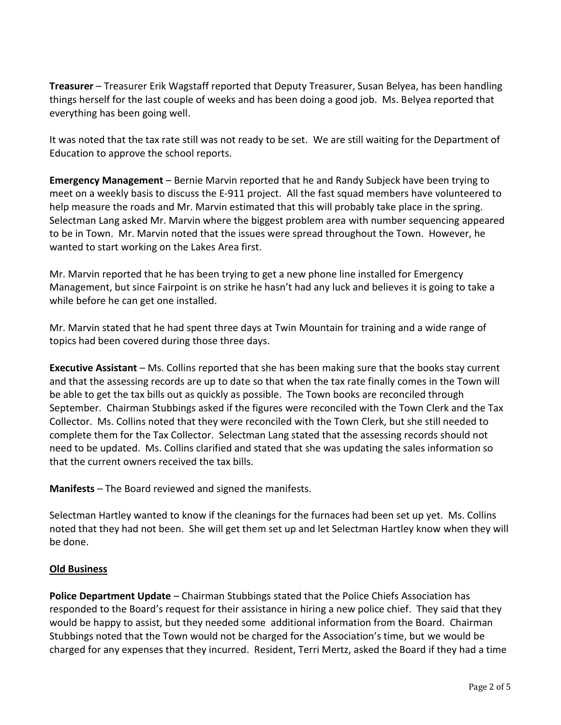**Treasurer** – Treasurer Erik Wagstaff reported that Deputy Treasurer, Susan Belyea, has been handling things herself for the last couple of weeks and has been doing a good job. Ms. Belyea reported that everything has been going well.

It was noted that the tax rate still was not ready to be set. We are still waiting for the Department of Education to approve the school reports.

**Emergency Management** – Bernie Marvin reported that he and Randy Subjeck have been trying to meet on a weekly basis to discuss the E-911 project. All the fast squad members have volunteered to help measure the roads and Mr. Marvin estimated that this will probably take place in the spring. Selectman Lang asked Mr. Marvin where the biggest problem area with number sequencing appeared to be in Town. Mr. Marvin noted that the issues were spread throughout the Town. However, he wanted to start working on the Lakes Area first.

Mr. Marvin reported that he has been trying to get a new phone line installed for Emergency Management, but since Fairpoint is on strike he hasn't had any luck and believes it is going to take a while before he can get one installed.

Mr. Marvin stated that he had spent three days at Twin Mountain for training and a wide range of topics had been covered during those three days.

**Executive Assistant** – Ms. Collins reported that she has been making sure that the books stay current and that the assessing records are up to date so that when the tax rate finally comes in the Town will be able to get the tax bills out as quickly as possible. The Town books are reconciled through September. Chairman Stubbings asked if the figures were reconciled with the Town Clerk and the Tax Collector. Ms. Collins noted that they were reconciled with the Town Clerk, but she still needed to complete them for the Tax Collector. Selectman Lang stated that the assessing records should not need to be updated. Ms. Collins clarified and stated that she was updating the sales information so that the current owners received the tax bills.

**Manifests** – The Board reviewed and signed the manifests.

Selectman Hartley wanted to know if the cleanings for the furnaces had been set up yet. Ms. Collins noted that they had not been. She will get them set up and let Selectman Hartley know when they will be done.

## **Old Business**

**Police Department Update** – Chairman Stubbings stated that the Police Chiefs Association has responded to the Board's request for their assistance in hiring a new police chief. They said that they would be happy to assist, but they needed some additional information from the Board. Chairman Stubbings noted that the Town would not be charged for the Association's time, but we would be charged for any expenses that they incurred. Resident, Terri Mertz, asked the Board if they had a time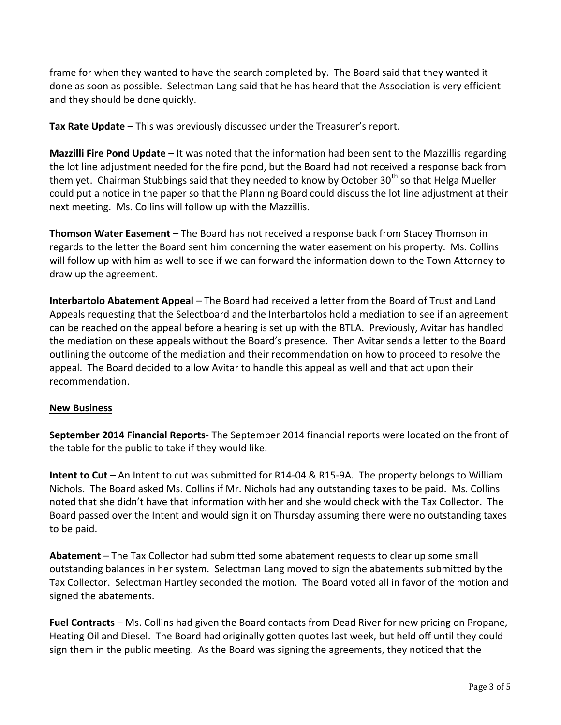frame for when they wanted to have the search completed by. The Board said that they wanted it done as soon as possible. Selectman Lang said that he has heard that the Association is very efficient and they should be done quickly.

**Tax Rate Update** – This was previously discussed under the Treasurer's report.

**Mazzilli Fire Pond Update** – It was noted that the information had been sent to the Mazzillis regarding the lot line adjustment needed for the fire pond, but the Board had not received a response back from them yet. Chairman Stubbings said that they needed to know by October 30<sup>th</sup> so that Helga Mueller could put a notice in the paper so that the Planning Board could discuss the lot line adjustment at their next meeting. Ms. Collins will follow up with the Mazzillis.

**Thomson Water Easement** – The Board has not received a response back from Stacey Thomson in regards to the letter the Board sent him concerning the water easement on his property. Ms. Collins will follow up with him as well to see if we can forward the information down to the Town Attorney to draw up the agreement.

**Interbartolo Abatement Appeal** – The Board had received a letter from the Board of Trust and Land Appeals requesting that the Selectboard and the Interbartolos hold a mediation to see if an agreement can be reached on the appeal before a hearing is set up with the BTLA. Previously, Avitar has handled the mediation on these appeals without the Board's presence. Then Avitar sends a letter to the Board outlining the outcome of the mediation and their recommendation on how to proceed to resolve the appeal. The Board decided to allow Avitar to handle this appeal as well and that act upon their recommendation.

## **New Business**

**September 2014 Financial Reports**- The September 2014 financial reports were located on the front of the table for the public to take if they would like.

**Intent to Cut** – An Intent to cut was submitted for R14-04 & R15-9A. The property belongs to William Nichols. The Board asked Ms. Collins if Mr. Nichols had any outstanding taxes to be paid. Ms. Collins noted that she didn't have that information with her and she would check with the Tax Collector. The Board passed over the Intent and would sign it on Thursday assuming there were no outstanding taxes to be paid.

**Abatement** – The Tax Collector had submitted some abatement requests to clear up some small outstanding balances in her system. Selectman Lang moved to sign the abatements submitted by the Tax Collector. Selectman Hartley seconded the motion. The Board voted all in favor of the motion and signed the abatements.

**Fuel Contracts** – Ms. Collins had given the Board contacts from Dead River for new pricing on Propane, Heating Oil and Diesel. The Board had originally gotten quotes last week, but held off until they could sign them in the public meeting. As the Board was signing the agreements, they noticed that the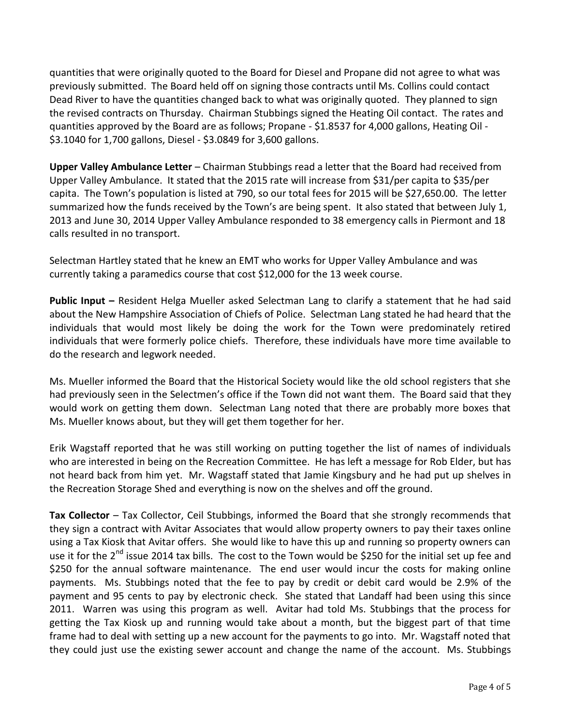quantities that were originally quoted to the Board for Diesel and Propane did not agree to what was previously submitted. The Board held off on signing those contracts until Ms. Collins could contact Dead River to have the quantities changed back to what was originally quoted. They planned to sign the revised contracts on Thursday. Chairman Stubbings signed the Heating Oil contact. The rates and quantities approved by the Board are as follows; Propane - \$1.8537 for 4,000 gallons, Heating Oil - \$3.1040 for 1,700 gallons, Diesel - \$3.0849 for 3,600 gallons.

**Upper Valley Ambulance Letter** – Chairman Stubbings read a letter that the Board had received from Upper Valley Ambulance. It stated that the 2015 rate will increase from \$31/per capita to \$35/per capita. The Town's population is listed at 790, so our total fees for 2015 will be \$27,650.00. The letter summarized how the funds received by the Town's are being spent. It also stated that between July 1, 2013 and June 30, 2014 Upper Valley Ambulance responded to 38 emergency calls in Piermont and 18 calls resulted in no transport.

Selectman Hartley stated that he knew an EMT who works for Upper Valley Ambulance and was currently taking a paramedics course that cost \$12,000 for the 13 week course.

**Public Input –** Resident Helga Mueller asked Selectman Lang to clarify a statement that he had said about the New Hampshire Association of Chiefs of Police. Selectman Lang stated he had heard that the individuals that would most likely be doing the work for the Town were predominately retired individuals that were formerly police chiefs. Therefore, these individuals have more time available to do the research and legwork needed.

Ms. Mueller informed the Board that the Historical Society would like the old school registers that she had previously seen in the Selectmen's office if the Town did not want them. The Board said that they would work on getting them down. Selectman Lang noted that there are probably more boxes that Ms. Mueller knows about, but they will get them together for her.

Erik Wagstaff reported that he was still working on putting together the list of names of individuals who are interested in being on the Recreation Committee. He has left a message for Rob Elder, but has not heard back from him yet. Mr. Wagstaff stated that Jamie Kingsbury and he had put up shelves in the Recreation Storage Shed and everything is now on the shelves and off the ground.

**Tax Collector** – Tax Collector, Ceil Stubbings, informed the Board that she strongly recommends that they sign a contract with Avitar Associates that would allow property owners to pay their taxes online using a Tax Kiosk that Avitar offers. She would like to have this up and running so property owners can use it for the 2<sup>nd</sup> issue 2014 tax bills. The cost to the Town would be \$250 for the initial set up fee and \$250 for the annual software maintenance. The end user would incur the costs for making online payments. Ms. Stubbings noted that the fee to pay by credit or debit card would be 2.9% of the payment and 95 cents to pay by electronic check. She stated that Landaff had been using this since 2011. Warren was using this program as well. Avitar had told Ms. Stubbings that the process for getting the Tax Kiosk up and running would take about a month, but the biggest part of that time frame had to deal with setting up a new account for the payments to go into. Mr. Wagstaff noted that they could just use the existing sewer account and change the name of the account. Ms. Stubbings